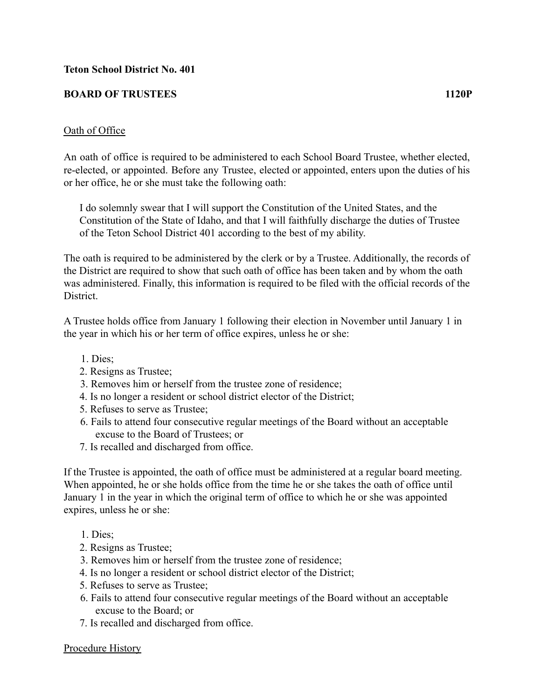## **BOARD OF TRUSTEES 1120P**

## Oath of Office

An oath of office is required to be administered to each School Board Trustee, whether elected, re-elected, or appointed. Before any Trustee, elected or appointed, enters upon the duties of his or her office, he or she must take the following oath:

I do solemnly swear that I will support the Constitution of the United States, and the Constitution of the State of Idaho, and that I will faithfully discharge the duties of Trustee of the Teton School District 401 according to the best of my ability.

The oath is required to be administered by the clerk or by a Trustee. Additionally, the records of the District are required to show that such oath of office has been taken and by whom the oath was administered. Finally, this information is required to be filed with the official records of the District.

A Trustee holds office from January 1 following their election in November until January 1 in the year in which his or her term of office expires, unless he or she:

- 1. Dies;
- 2. Resigns as Trustee;
- 3. Removes him or herself from the trustee zone of residence;
- 4. Is no longer a resident or school district elector of the District;
- 5. Refuses to serve as Trustee;
- 6. Fails to attend four consecutive regular meetings of the Board without an acceptable excuse to the Board of Trustees; or
- 7. Is recalled and discharged from office.

If the Trustee is appointed, the oath of office must be administered at a regular board meeting. When appointed, he or she holds office from the time he or she takes the oath of office until January 1 in the year in which the original term of office to which he or she was appointed expires, unless he or she:

- 1. Dies;
- 2. Resigns as Trustee;
- 3. Removes him or herself from the trustee zone of residence;
- 4. Is no longer a resident or school district elector of the District;
- 5. Refuses to serve as Trustee;
- 6. Fails to attend four consecutive regular meetings of the Board without an acceptable excuse to the Board; or
- 7. Is recalled and discharged from office.

## Procedure History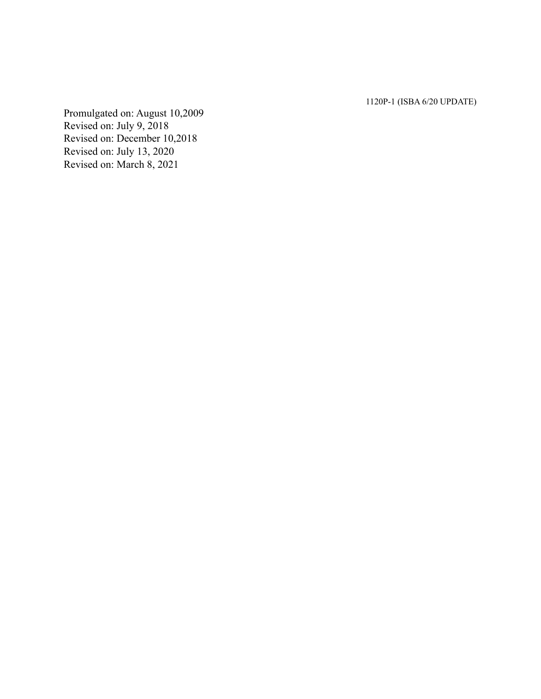1120P-1 (ISBA 6/20 UPDATE)

Promulgated on: August 10,2009 Revised on: July 9, 2018 Revised on: December 10,2018 Revised on: July 13, 2020 Revised on: March 8, 2021